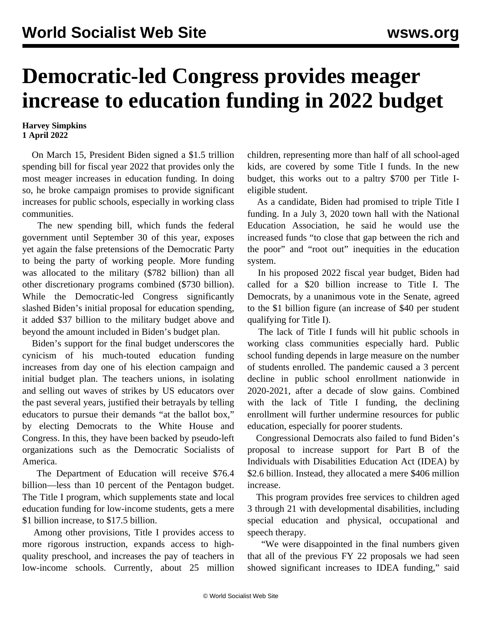## **Democratic-led Congress provides meager increase to education funding in 2022 budget**

## **Harvey Simpkins 1 April 2022**

 On March 15, President Biden signed a \$1.5 trillion spending bill for fiscal year 2022 that provides only the most meager increases in education funding. In doing so, he broke campaign promises to provide significant increases for public schools, especially in working class communities.

 The new spending bill, which funds the federal government until September 30 of this year, exposes yet again the false pretensions of the Democratic Party to being the party of working people. More funding was allocated to the military (\$782 billion) than all other discretionary programs combined (\$730 billion). While the Democratic-led Congress significantly slashed Biden's initial proposal for education spending, it added \$37 billion to the military budget above and beyond the amount included in Biden's budget plan.

 Biden's support for the final budget underscores the cynicism of his much-touted education funding increases from day one of his election campaign and initial budget plan. The teachers unions, in isolating and selling out waves of strikes by US educators over the past several years, justified their betrayals by telling educators to pursue their demands "at the ballot box," by electing Democrats to the White House and Congress. In this, they have been backed by pseudo-left organizations such as the Democratic Socialists of America.

 The Department of Education will receive \$76.4 billion—less than 10 percent of the Pentagon budget. The Title I program, which supplements state and local education funding for low-income students, gets a mere \$1 billion increase, to \$17.5 billion.

 Among other provisions, Title I provides access to more rigorous instruction, expands access to highquality preschool, and increases the pay of teachers in low-income schools. Currently, about 25 million children, representing more than half of all school-aged kids, are covered by some Title I funds. In the new budget, this works out to a paltry \$700 per Title Ieligible student.

 As a candidate, Biden had promised to triple Title I funding. In a July 3, 2020 town hall with the National Education Association, he said he would use the increased funds "to close that gap between the rich and the poor" and "root out" inequities in the education system.

 In his proposed 2022 fiscal year budget, Biden had called for a \$20 billion increase to Title I. The Democrats, by a unanimous vote in the Senate, agreed to the \$1 billion figure (an increase of \$40 per student qualifying for Title I).

 The lack of Title I funds will hit public schools in working class communities especially hard. Public school funding depends in large measure on the number of students enrolled. The pandemic caused a 3 percent decline in public school enrollment nationwide in 2020-2021, after a decade of slow gains. Combined with the lack of Title I funding, the declining enrollment will further undermine resources for public education, especially for poorer students.

 Congressional Democrats also failed to fund Biden's proposal to increase support for Part B of the Individuals with Disabilities Education Act (IDEA) by \$2.6 billion. Instead, they allocated a mere \$406 million increase.

 This program provides free services to children aged 3 through 21 with developmental disabilities, including special education and physical, occupational and speech therapy.

 "We were disappointed in the final numbers given that all of the previous FY 22 proposals we had seen showed significant increases to IDEA funding," said